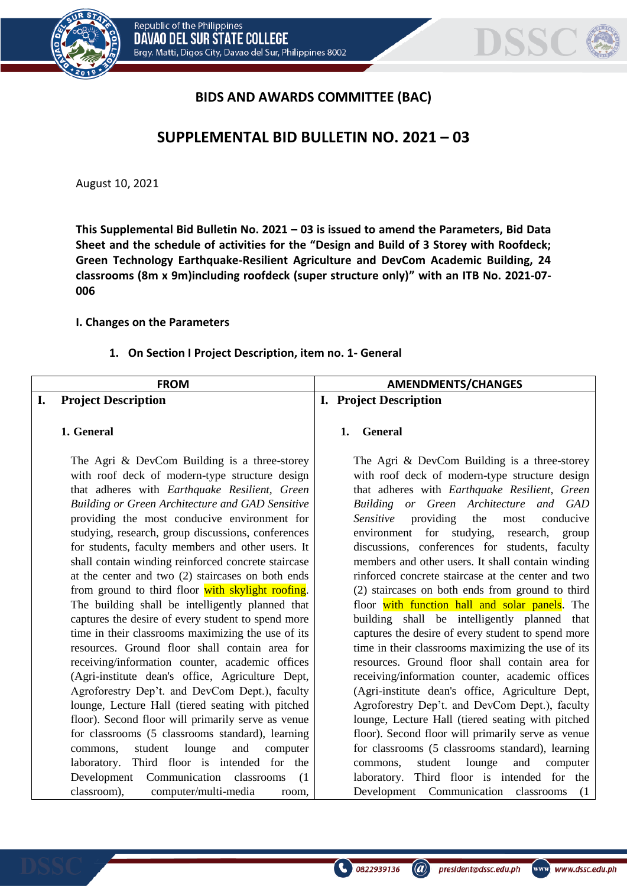



# **BIDS AND AWARDS COMMITTEE (BAC)**

# **SUPPLEMENTAL BID BULLETIN NO. 2021 – 03**

August 10, 2021

**This Supplemental Bid Bulletin No. 2021 – 03 is issued to amend the Parameters, Bid Data Sheet and the schedule of activities for the "Design and Build of 3 Storey with Roofdeck; Green Technology Earthquake-Resilient Agriculture and DevCom Academic Building, 24 classrooms (8m x 9m)including roofdeck (super structure only)" with an ITB No. 2021-07- 006**

#### **I. Changes on the Parameters**

#### **1. On Section I Project Description, item no. 1- General**

| <b>FROM</b>                                                                                                                                                                                                                                                                                                                                                                                                                                                                                                                                                                                                                                                                                                                                                                                                                                                                                                                                                                                                                                                                                                                                                                                                                                                                 | <b>AMENDMENTS/CHANGES</b>                                                                                                                                                                                                                                                                                                                                                                                                                                                                                                                                                                                                                                                                                                                                                                                                                                                                                                                                                                                                                                                                                                                                                                                                                                        |
|-----------------------------------------------------------------------------------------------------------------------------------------------------------------------------------------------------------------------------------------------------------------------------------------------------------------------------------------------------------------------------------------------------------------------------------------------------------------------------------------------------------------------------------------------------------------------------------------------------------------------------------------------------------------------------------------------------------------------------------------------------------------------------------------------------------------------------------------------------------------------------------------------------------------------------------------------------------------------------------------------------------------------------------------------------------------------------------------------------------------------------------------------------------------------------------------------------------------------------------------------------------------------------|------------------------------------------------------------------------------------------------------------------------------------------------------------------------------------------------------------------------------------------------------------------------------------------------------------------------------------------------------------------------------------------------------------------------------------------------------------------------------------------------------------------------------------------------------------------------------------------------------------------------------------------------------------------------------------------------------------------------------------------------------------------------------------------------------------------------------------------------------------------------------------------------------------------------------------------------------------------------------------------------------------------------------------------------------------------------------------------------------------------------------------------------------------------------------------------------------------------------------------------------------------------|
| <b>Project Description</b><br>I.                                                                                                                                                                                                                                                                                                                                                                                                                                                                                                                                                                                                                                                                                                                                                                                                                                                                                                                                                                                                                                                                                                                                                                                                                                            | <b>I.</b> Project Description                                                                                                                                                                                                                                                                                                                                                                                                                                                                                                                                                                                                                                                                                                                                                                                                                                                                                                                                                                                                                                                                                                                                                                                                                                    |
|                                                                                                                                                                                                                                                                                                                                                                                                                                                                                                                                                                                                                                                                                                                                                                                                                                                                                                                                                                                                                                                                                                                                                                                                                                                                             |                                                                                                                                                                                                                                                                                                                                                                                                                                                                                                                                                                                                                                                                                                                                                                                                                                                                                                                                                                                                                                                                                                                                                                                                                                                                  |
| 1. General                                                                                                                                                                                                                                                                                                                                                                                                                                                                                                                                                                                                                                                                                                                                                                                                                                                                                                                                                                                                                                                                                                                                                                                                                                                                  | General<br>1.                                                                                                                                                                                                                                                                                                                                                                                                                                                                                                                                                                                                                                                                                                                                                                                                                                                                                                                                                                                                                                                                                                                                                                                                                                                    |
| The Agri & DevCom Building is a three-storey<br>with roof deck of modern-type structure design<br>that adheres with Earthquake Resilient, Green<br>Building or Green Architecture and GAD Sensitive<br>providing the most conducive environment for<br>studying, research, group discussions, conferences<br>for students, faculty members and other users. It<br>shall contain winding reinforced concrete staircase<br>at the center and two (2) staircases on both ends<br>from ground to third floor with skylight roofing.<br>The building shall be intelligently planned that<br>captures the desire of every student to spend more<br>time in their classrooms maximizing the use of its<br>resources. Ground floor shall contain area for<br>receiving/information counter, academic offices<br>(Agri-institute dean's office, Agriculture Dept,<br>Agroforestry Dep't. and DevCom Dept.), faculty<br>lounge, Lecture Hall (tiered seating with pitched<br>floor). Second floor will primarily serve as venue<br>for classrooms (5 classrooms standard), learning<br>student lounge<br>and<br>commons,<br>computer<br>Third floor is intended for the<br>laboratory.<br>Development Communication classrooms<br>(1)<br>classroom),<br>computer/multi-media<br>room, | The Agri & DevCom Building is a three-storey<br>with roof deck of modern-type structure design<br>that adheres with Earthquake Resilient, Green<br>Building or Green Architecture and GAD<br>Sensitive<br>providing<br>the<br>most<br>conducive<br>environment for studying,<br>research,<br>group<br>discussions, conferences for students, faculty<br>members and other users. It shall contain winding<br>rinforced concrete staircase at the center and two<br>(2) staircases on both ends from ground to third<br>floor with function hall and solar panels. The<br>building shall be intelligently planned that<br>captures the desire of every student to spend more<br>time in their classrooms maximizing the use of its<br>resources. Ground floor shall contain area for<br>receiving/information counter, academic offices<br>(Agri-institute dean's office, Agriculture Dept,<br>Agroforestry Dep't. and DevCom Dept.), faculty<br>lounge, Lecture Hall (tiered seating with pitched<br>floor). Second floor will primarily serve as venue<br>for classrooms (5 classrooms standard), learning<br>student<br>lounge<br>and<br>commons,<br>computer<br>laboratory. Third floor is intended for the<br>Development Communication<br>classrooms<br>(1) |

president@dssc.edu.ph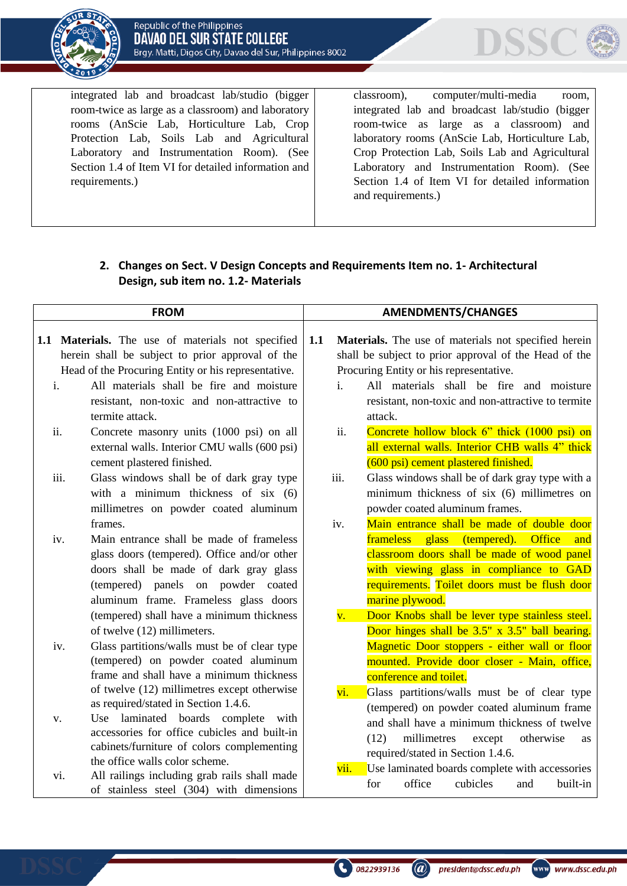



integrated lab and broadcast lab/studio (bigger room-twice as large as a classroom) and laboratory rooms (AnScie Lab, Horticulture Lab, Crop Protection Lab, Soils Lab and Agricultural Laboratory and Instrumentation Room). (See Section 1.4 of Item VI for detailed information and requirements.)

classroom), computer/multi-media room, integrated lab and broadcast lab/studio (bigger room-twice as large as a classroom) and laboratory rooms (AnScie Lab, Horticulture Lab, Crop Protection Lab, Soils Lab and Agricultural Laboratory and Instrumentation Room). (See Section 1.4 of Item VI for detailed information and requirements.)

## **2. Changes on Sect. V Design Concepts and Requirements Item no. 1- Architectural Design, sub item no. 1.2- Materials**

| <b>FROM</b>                                                                                           |                               | <b>AMENDMENTS/CHANGES</b>                                                                                                                                                                                                                                                                                                                                                      |  |                                                                                                                                                          |                                                                                                                                                                                                                                                                                                                                                        |
|-------------------------------------------------------------------------------------------------------|-------------------------------|--------------------------------------------------------------------------------------------------------------------------------------------------------------------------------------------------------------------------------------------------------------------------------------------------------------------------------------------------------------------------------|--|----------------------------------------------------------------------------------------------------------------------------------------------------------|--------------------------------------------------------------------------------------------------------------------------------------------------------------------------------------------------------------------------------------------------------------------------------------------------------------------------------------------------------|
| 1.1 Materials. The use of materials not specified<br>herein shall be subject to prior approval of the |                               | 1.1                                                                                                                                                                                                                                                                                                                                                                            |  | Materials. The use of materials not specified herein<br>shall be subject to prior approval of the Head of the<br>Procuring Entity or his representative. |                                                                                                                                                                                                                                                                                                                                                        |
|                                                                                                       | $\mathbf{i}$ .<br>ii.<br>iii. | Head of the Procuring Entity or his representative.<br>All materials shall be fire and moisture<br>resistant, non-toxic and non-attractive to<br>termite attack.<br>Concrete masonry units (1000 psi) on all<br>external walls. Interior CMU walls (600 psi)<br>cement plastered finished.<br>Glass windows shall be of dark gray type<br>with a minimum thickness of $six(6)$ |  | i.<br>ii.<br>iii.                                                                                                                                        | All materials shall be fire and moisture<br>resistant, non-toxic and non-attractive to termite<br>attack.<br>Concrete hollow block 6" thick (1000 psi) on<br>all external walls. Interior CHB walls 4" thick<br>(600 psi) cement plastered finished.<br>Glass windows shall be of dark gray type with a<br>minimum thickness of six (6) millimetres on |
|                                                                                                       | iv.                           | millimetres on powder coated aluminum<br>frames.<br>Main entrance shall be made of frameless<br>glass doors (tempered). Office and/or other<br>doors shall be made of dark gray glass<br>(tempered) panels on powder coated<br>aluminum frame. Frameless glass doors                                                                                                           |  | iv.                                                                                                                                                      | powder coated aluminum frames.<br>Main entrance shall be made of double door<br><b>frameless</b><br>glass (tempered).<br><b>Office</b><br>and<br>classroom doors shall be made of wood panel<br>with viewing glass in compliance to GAD<br>requirements. Toilet doors must be flush door<br>marine plywood.                                            |
|                                                                                                       | iv.                           | (tempered) shall have a minimum thickness<br>of twelve (12) millimeters.<br>Glass partitions/walls must be of clear type<br>(tempered) on powder coated aluminum<br>frame and shall have a minimum thickness<br>of twelve (12) millimetres except otherwise<br>as required/stated in Section 1.4.6.                                                                            |  | $\overline{\mathbf{v}}$ .<br>vi.                                                                                                                         | Door Knobs shall be lever type stainless steel.<br>Door hinges shall be 3.5" x 3.5" ball bearing.<br>Magnetic Door stoppers - either wall or floor<br>mounted. Provide door closer - Main, office,<br>conference and toilet.<br>Glass partitions/walls must be of clear type<br>(tempered) on powder coated aluminum frame                             |
|                                                                                                       | V.<br>vi.                     | Use laminated boards complete<br>with<br>accessories for office cubicles and built-in<br>cabinets/furniture of colors complementing<br>the office walls color scheme.<br>All railings including grab rails shall made<br>of stainless steel (304) with dimensions                                                                                                              |  | vii.                                                                                                                                                     | and shall have a minimum thickness of twelve<br>(12)<br>millimetres<br>otherwise<br>except<br><b>as</b><br>required/stated in Section 1.4.6.<br>Use laminated boards complete with accessories<br>office<br>cubicles<br>for<br>built-in<br>and                                                                                                         |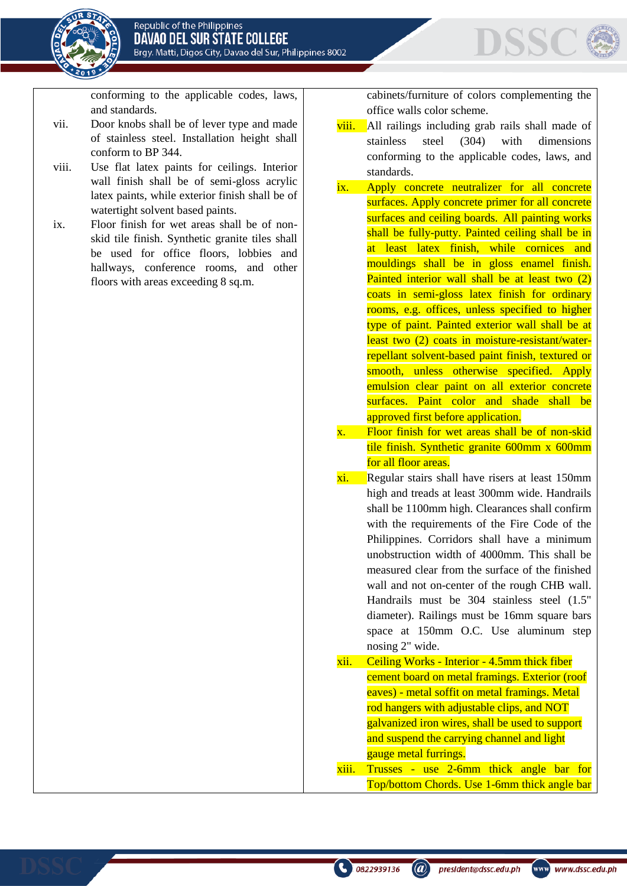

conforming to the applicable codes, laws, and standards.

- vii. Door knobs shall be of lever type and made of stainless steel. Installation height shall conform to BP 344.
- viii. Use flat latex paints for ceilings. Interior wall finish shall be of semi-gloss acrylic latex paints, while exterior finish shall be of watertight solvent based paints.
- ix. Floor finish for wet areas shall be of nonskid tile finish. Synthetic granite tiles shall be used for office floors, lobbies and hallways, conference rooms, and other floors with areas exceeding 8 sq.m.

cabinets/furniture of colors complementing the office walls color scheme.

DSSC

- viii. All railings including grab rails shall made of stainless steel (304) with dimensions conforming to the applicable codes, laws, and standards.
- ix. Apply concrete neutralizer for all concrete surfaces. Apply concrete primer for all concrete surfaces and ceiling boards. All painting works shall be fully-putty. Painted ceiling shall be in at least latex finish, while cornices and mouldings shall be in gloss enamel finish. Painted interior wall shall be at least two (2) coats in semi-gloss latex finish for ordinary rooms, e.g. offices, unless specified to higher type of paint. Painted exterior wall shall be at least two (2) coats in moisture-resistant/waterrepellant solvent-based paint finish, textured or smooth, unless otherwise specified. Apply emulsion clear paint on all exterior concrete surfaces. Paint color and shade shall be approved first before application.
- x. Floor finish for wet areas shall be of non-skid tile finish. Synthetic granite 600mm x 600mm for all floor areas.
- xi. Regular stairs shall have risers at least 150mm high and treads at least 300mm wide. Handrails shall be 1100mm high. Clearances shall confirm with the requirements of the Fire Code of the Philippines. Corridors shall have a minimum unobstruction width of 4000mm. This shall be measured clear from the surface of the finished wall and not on-center of the rough CHB wall. Handrails must be 304 stainless steel (1.5" diameter). Railings must be 16mm square bars space at 150mm O.C. Use aluminum step nosing 2" wide. xii. Ceiling Works - Interior - 4.5mm thick fiber

cement board on metal framings. Exterior (roof eaves) - metal soffit on metal framings. Metal rod hangers with adjustable clips, and NOT galvanized iron wires, shall be used to support and suspend the carrying channel and light gauge metal furrings. xiii. Trusses - use 2-6mm thick angle bar for

Top/bottom Chords. Use 1-6mm thick angle bar

president@dssc.edu.ph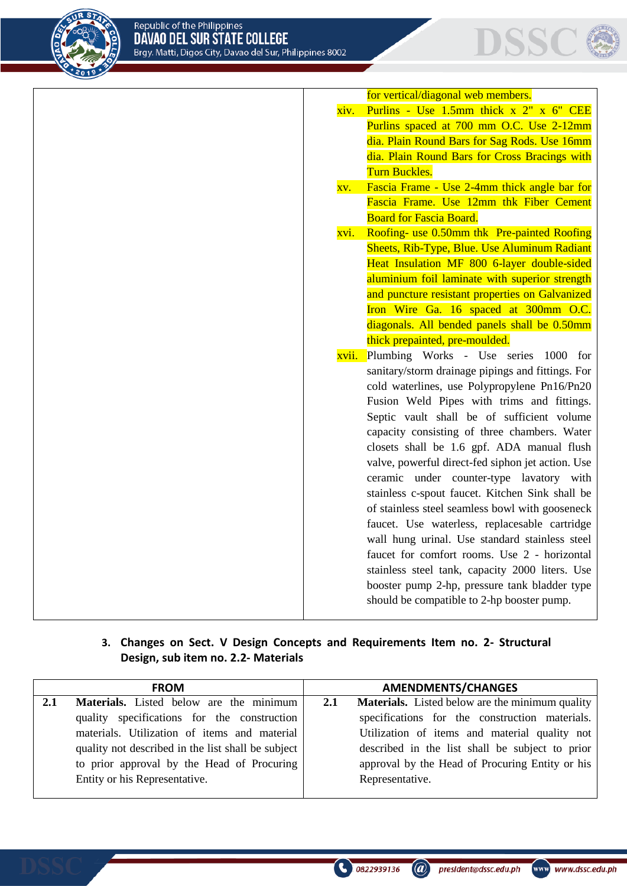



|      | for vertical/diagonal web members.                |
|------|---------------------------------------------------|
| xiv. | Purlins - Use 1.5mm thick x 2" x 6" CEE           |
|      | Purlins spaced at 700 mm O.C. Use 2-12mm          |
|      | dia. Plain Round Bars for Sag Rods. Use 16mm      |
|      | dia. Plain Round Bars for Cross Bracings with     |
|      | <b>Turn Buckles.</b>                              |
| XV.  | Fascia Frame - Use 2-4mm thick angle bar for      |
|      | Fascia Frame. Use 12mm thk Fiber Cement           |
|      | <b>Board for Fascia Board.</b>                    |
| xvi. | Roofing- use 0.50mm thk Pre-painted Roofing       |
|      | Sheets, Rib-Type, Blue. Use Aluminum Radiant      |
|      | Heat Insulation MF 800 6-layer double-sided       |
|      | aluminium foil laminate with superior strength    |
|      | and puncture resistant properties on Galvanized   |
|      | Iron Wire Ga. 16 spaced at 300mm O.C.             |
|      | diagonals. All bended panels shall be 0.50mm      |
|      | thick prepainted, pre-moulded.                    |
|      | xvii. Plumbing Works - Use series 1000 for        |
|      | sanitary/storm drainage pipings and fittings. For |
|      | cold waterlines, use Polypropylene Pn16/Pn20      |
|      | Fusion Weld Pipes with trims and fittings.        |
|      | Septic vault shall be of sufficient volume        |
|      | capacity consisting of three chambers. Water      |
|      | closets shall be 1.6 gpf. ADA manual flush        |
|      | valve, powerful direct-fed siphon jet action. Use |
|      | ceramic under counter-type lavatory with          |
|      | stainless c-spout faucet. Kitchen Sink shall be   |
|      | of stainless steel seamless bowl with gooseneck   |
|      | faucet. Use waterless, replacesable cartridge     |
|      | wall hung urinal. Use standard stainless steel    |
|      | faucet for comfort rooms. Use 2 - horizontal      |
|      | stainless steel tank, capacity 2000 liters. Use   |
|      | booster pump 2-hp, pressure tank bladder type     |
|      | should be compatible to 2-hp booster pump.        |
|      |                                                   |

## **3. Changes on Sect. V Design Concepts and Requirements Item no. 2- Structural Design, sub item no. 2.2- Materials**

|     | <b>FROM</b>                                        |     | <b>AMENDMENTS/CHANGES</b>                       |
|-----|----------------------------------------------------|-----|-------------------------------------------------|
| 2.1 | Materials. Listed below are the minimum            | 2.1 | Materials. Listed below are the minimum quality |
|     | quality specifications for the construction        |     | specifications for the construction materials.  |
|     | materials. Utilization of items and material       |     | Utilization of items and material quality not   |
|     | quality not described in the list shall be subject |     | described in the list shall be subject to prior |
|     | to prior approval by the Head of Procuring         |     | approval by the Head of Procuring Entity or his |
|     | Entity or his Representative.                      |     | Representative.                                 |
|     |                                                    |     |                                                 |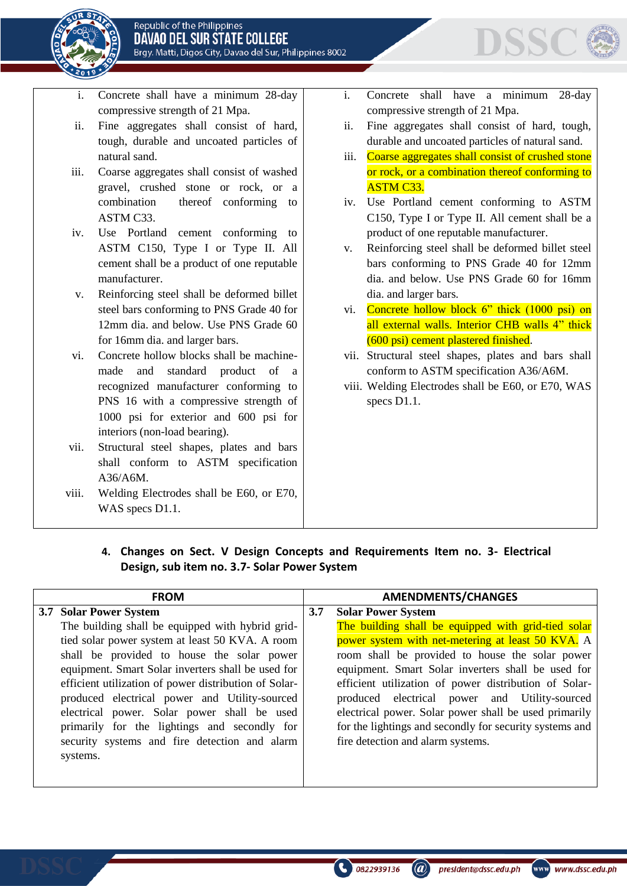



- i. Concrete shall have a minimum 28-day compressive strength of 21 Mpa.
- ii. Fine aggregates shall consist of hard, tough, durable and uncoated particles of natural sand.
- iii. Coarse aggregates shall consist of washed gravel, crushed stone or rock, or a combination thereof conforming to ASTM C33.
- iv. Use Portland cement conforming to ASTM C150, Type I or Type II. All cement shall be a product of one reputable manufacturer.
- v. Reinforcing steel shall be deformed billet steel bars conforming to PNS Grade 40 for 12mm dia. and below. Use PNS Grade 60 for 16mm dia. and larger bars.
- vi. Concrete hollow blocks shall be machinemade and standard product of a recognized manufacturer conforming to PNS 16 with a compressive strength of 1000 psi for exterior and 600 psi for interiors (non-load bearing).
- vii. Structural steel shapes, plates and bars shall conform to ASTM specification A36/A6M.
- viii. Welding Electrodes shall be E60, or E70, WAS specs D1.1.
- i. Concrete shall have a minimum 28-day compressive strength of 21 Mpa.
- ii. Fine aggregates shall consist of hard, tough, durable and uncoated particles of natural sand.
- iii. Coarse aggregates shall consist of crushed stone or rock, or a combination thereof conforming to ASTM C33.
- iv. Use Portland cement conforming to ASTM C150, Type I or Type II. All cement shall be a product of one reputable manufacturer.
- v. Reinforcing steel shall be deformed billet steel bars conforming to PNS Grade 40 for 12mm dia. and below. Use PNS Grade 60 for 16mm dia. and larger bars.
- vi. Concrete hollow block 6" thick (1000 psi) on all external walls. Interior CHB walls 4" thick (600 psi) cement plastered finished.
- vii. Structural steel shapes, plates and bars shall conform to ASTM specification A36/A6M.
- viii. Welding Electrodes shall be E60, or E70, WAS specs D1.1.

**4. Changes on Sect. V Design Concepts and Requirements Item no. 3- Electrical Design, sub item no. 3.7- Solar Power System**

| <b>FROM</b>                                           | <b>AMENDMENTS/CHANGES</b> |                                                         |
|-------------------------------------------------------|---------------------------|---------------------------------------------------------|
| 3.7 Solar Power System                                | 3.7                       | <b>Solar Power System</b>                               |
| The building shall be equipped with hybrid grid-      |                           | The building shall be equipped with grid-tied solar     |
| tied solar power system at least 50 KVA. A room       |                           | power system with net-metering at least 50 KVA. A       |
| shall be provided to house the solar power            |                           | room shall be provided to house the solar power         |
| equipment. Smart Solar inverters shall be used for    |                           | equipment. Smart Solar inverters shall be used for      |
| efficient utilization of power distribution of Solar- |                           | efficient utilization of power distribution of Solar-   |
| produced electrical power and Utility-sourced         |                           | produced electrical power and Utility-sourced           |
| electrical power. Solar power shall be used           |                           | electrical power. Solar power shall be used primarily   |
| primarily for the lightings and secondly for          |                           | for the lightings and secondly for security systems and |
| security systems and fire detection and alarm         |                           | fire detection and alarm systems.                       |
| systems.                                              |                           |                                                         |
|                                                       |                           |                                                         |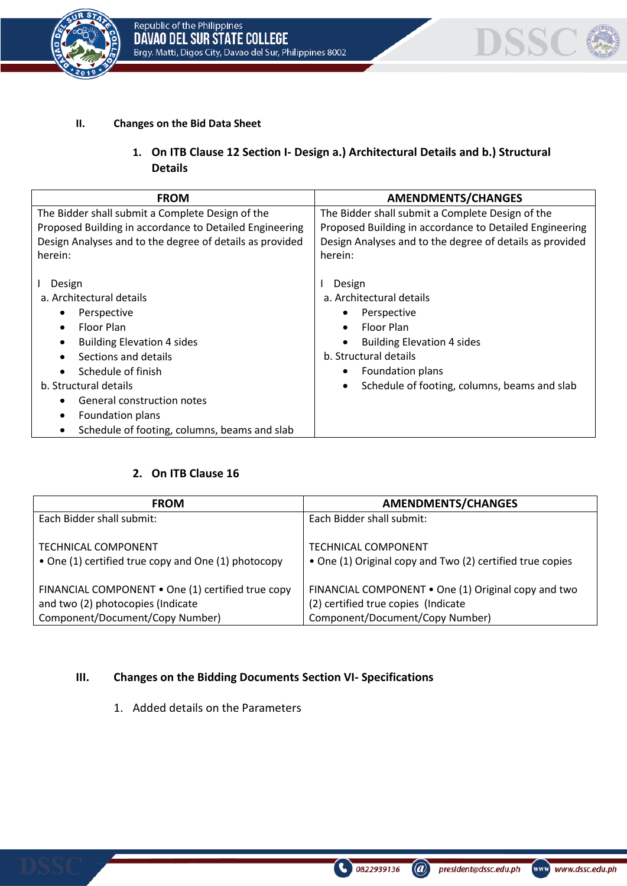



#### **II. Changes on the Bid Data Sheet**

## **1. On ITB Clause 12 Section I- Design a.) Architectural Details and b.) Structural Details**

| <b>FROM</b>                                                                                                                                                                                                                                                                   | <b>AMENDMENTS/CHANGES</b>                                                                                                                                                                                                                     |  |
|-------------------------------------------------------------------------------------------------------------------------------------------------------------------------------------------------------------------------------------------------------------------------------|-----------------------------------------------------------------------------------------------------------------------------------------------------------------------------------------------------------------------------------------------|--|
| The Bidder shall submit a Complete Design of the<br>Proposed Building in accordance to Detailed Engineering<br>Design Analyses and to the degree of details as provided<br>herein:                                                                                            | The Bidder shall submit a Complete Design of the<br>Proposed Building in accordance to Detailed Engineering<br>Design Analyses and to the degree of details as provided<br>herein:                                                            |  |
| Design<br>a. Architectural details<br>Perspective<br>Floor Plan<br><b>Building Elevation 4 sides</b><br>Sections and details<br>Schedule of finish<br>b. Structural details<br>General construction notes<br>Foundation plans<br>Schedule of footing, columns, beams and slab | Design<br>a. Architectural details<br>Perspective<br>٠<br>Floor Plan<br>$\bullet$<br><b>Building Elevation 4 sides</b><br>b. Structural details<br>Foundation plans<br>$\bullet$<br>Schedule of footing, columns, beams and slab<br>$\bullet$ |  |

#### **2. On ITB Clause 16**

| <b>FROM</b>                                         | <b>AMENDMENTS/CHANGES</b>                                 |
|-----------------------------------------------------|-----------------------------------------------------------|
| Each Bidder shall submit:                           | Each Bidder shall submit:                                 |
| <b>TECHNICAL COMPONENT</b>                          | <b>TECHNICAL COMPONENT</b>                                |
| • One (1) certified true copy and One (1) photocopy | • One (1) Original copy and Two (2) certified true copies |
| FINANCIAL COMPONENT . One (1) certified true copy   | FINANCIAL COMPONENT • One (1) Original copy and two       |
| and two (2) photocopies (Indicate                   | (2) certified true copies (Indicate                       |
| Component/Document/Copy Number)                     | Component/Document/Copy Number)                           |

#### **III. Changes on the Bidding Documents Section VI- Specifications**

1. Added details on the Parameters